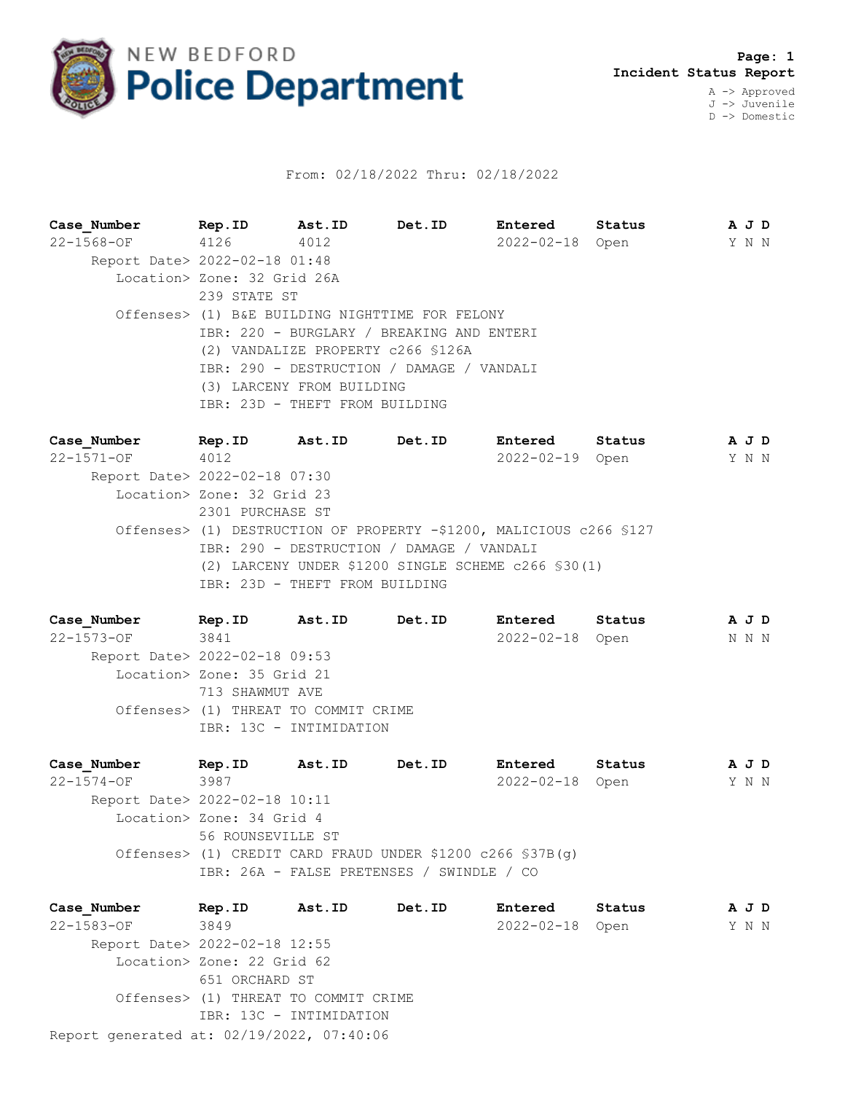

## From: 02/18/2022 Thru: 02/18/2022

**Case\_Number Rep.ID Ast.ID Det.ID Entered Status A J D** 22-1568-OF 4126 4012 2022-02-18 Open Y N N Report Date> 2022-02-18 01:48 Location> Zone: 32 Grid 26A 239 STATE ST Offenses> (1) B&E BUILDING NIGHTTIME FOR FELONY IBR: 220 - BURGLARY / BREAKING AND ENTERI (2) VANDALIZE PROPERTY c266 §126A IBR: 290 - DESTRUCTION / DAMAGE / VANDALI (3) LARCENY FROM BUILDING IBR: 23D - THEFT FROM BUILDING

**Case\_Number Rep.ID Ast.ID Det.ID Entered Status A J D** 22-1571-OF 4012 2022-02-19 Open Y N N Report Date> 2022-02-18 07:30 Location> Zone: 32 Grid 23 2301 PURCHASE ST Offenses> (1) DESTRUCTION OF PROPERTY -\$1200, MALICIOUS c266 §127 IBR: 290 - DESTRUCTION / DAMAGE / VANDALI (2) LARCENY UNDER \$1200 SINGLE SCHEME c266 §30(1) IBR: 23D - THEFT FROM BUILDING

**Case\_Number Rep.ID Ast.ID Det.ID Entered Status A J D** 22-1573-OF 3841 2022-02-18 Open N N N Report Date> 2022-02-18 09:53 Location> Zone: 35 Grid 21 713 SHAWMUT AVE Offenses> (1) THREAT TO COMMIT CRIME IBR: 13C - INTIMIDATION

**Case\_Number Rep.ID Ast.ID Det.ID Entered Status A J D** 22-1574-OF 3987 2022-02-18 Open Y N N Report Date> 2022-02-18 10:11 Location> Zone: 34 Grid 4 56 ROUNSEVILLE ST Offenses> (1) CREDIT CARD FRAUD UNDER \$1200 c266 §37B(g) IBR: 26A - FALSE PRETENSES / SWINDLE / CO

Report generated at: 02/19/2022, 07:40:06 **Case\_Number Rep.ID Ast.ID Det.ID Entered Status A J D** 22-1583-OF 3849 2022-02-18 Open Y N N Report Date> 2022-02-18 12:55 Location> Zone: 22 Grid 62 651 ORCHARD ST Offenses> (1) THREAT TO COMMIT CRIME IBR: 13C - INTIMIDATION